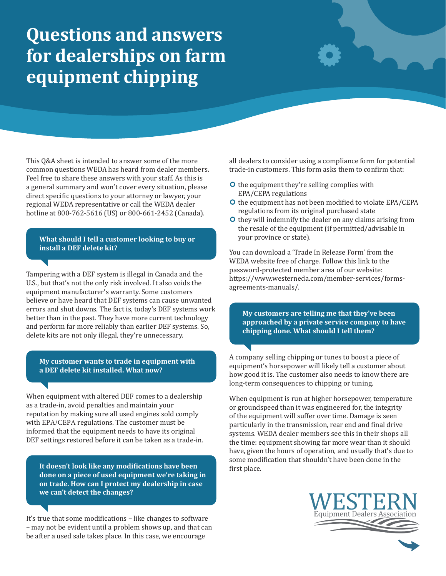## **Questions and answers for dealerships on farm equipment chipping**

This Q&A sheet is intended to answer some of the more common questions WEDA has heard from dealer members. Feel free to share these answers with your staff. As this is a general summary and won't cover every situation, please direct specific questions to your attorney or lawyer, your regional WEDA representative or call the WEDA dealer hotline at 800-762-5616 (US) or 800-661-2452 (Canada).

## **What should I tell a customer looking to buy or install a DEF delete kit?**

Tampering with a DEF system is illegal in Canada and the U.S., but that's not the only risk involved. It also voids the equipment manufacturer's warranty. Some customers believe or have heard that DEF systems can cause unwanted errors and shut downs. The fact is, today's DEF systems work better than in the past. They have more current technology and perform far more reliably than earlier DEF systems. So, delete kits are not only illegal, they're unnecessary.

## **My customer wants to trade in equipment with a DEF delete kit installed. What now?**

When equipment with altered DEF comes to a dealership as a trade-in, avoid penalties and maintain your reputation by making sure all used engines sold comply with EPA/CEPA regulations. The customer must be informed that the equipment needs to have its original DEF settings restored before it can be taken as a trade-in.

**It doesn't look like any modifications have been done on a piece of used equipment we're taking in on trade. How can I protect my dealership in case we can't detect the changes?**

It's true that some modifications – like changes to software – may not be evident until a problem shows up, and that can be after a used sale takes place. In this case, we encourage

all dealers to consider using a compliance form for potential trade-in customers. This form asks them to confirm that:

- $\bullet$  the equipment they're selling complies with EPA/CEPA regulations
- ¢ the equipment has not been modified to violate EPA/CEPA regulations from its original purchased state
- ¢ they will indemnify the dealer on any claims arising from the resale of the equipment (if permitted/advisable in your province or state).

You can download a 'Trade In Release Form' from the WEDA website free of charge. Follow this link to the password-protected member area of our website: https://www.westerneda.com/member-services/formsagreements-manuals/.

**My customers are telling me that they've been approached by a private service company to have chipping done. What should I tell them?**

A company selling chipping or tunes to boost a piece of equipment's horsepower will likely tell a customer about how good it is. The customer also needs to know there are long-term consequences to chipping or tuning.

When equipment is run at higher horsepower, temperature or groundspeed than it was engineered for, the integrity of the equipment will suffer over time. Damage is seen particularly in the transmission, rear end and final drive systems. WEDA dealer members see this in their shops all the time: equipment showing far more wear than it should have, given the hours of operation, and usually that's due to some modification that shouldn't have been done in the first place.